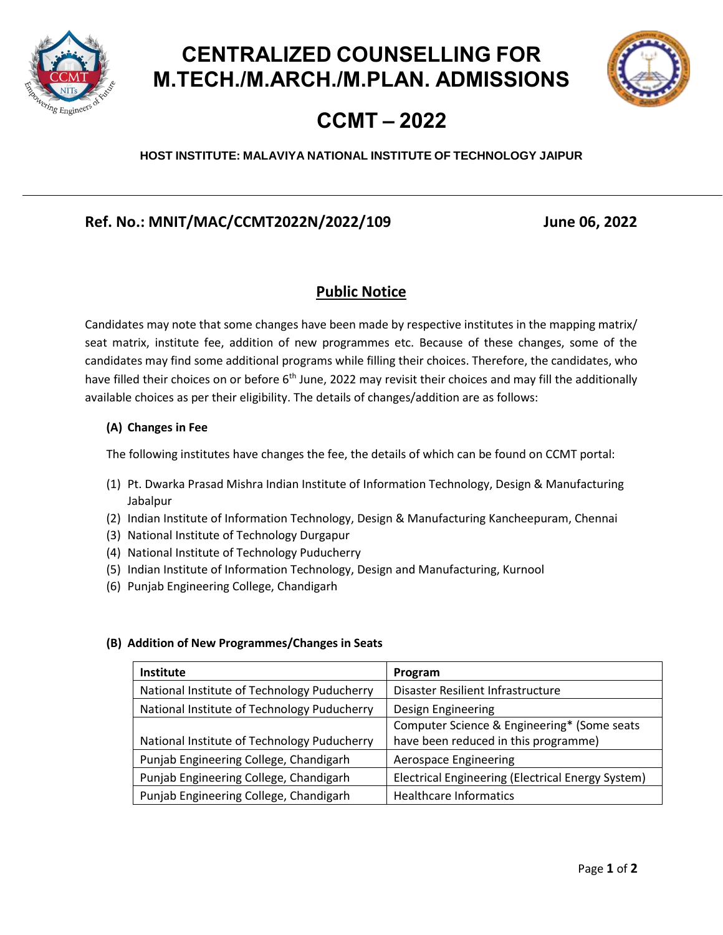



## **CCMT – 2022**

### **HOST INSTITUTE: MALAVIYA NATIONAL INSTITUTE OF TECHNOLOGY JAIPUR**

## **Ref. No.: MNIT/MAC/CCMT2022N/2022/109 June 06, 2022**

### **Public Notice**

Candidates may note that some changes have been made by respective institutes in the mapping matrix/ seat matrix, institute fee, addition of new programmes etc. Because of these changes, some of the candidates may find some additional programs while filling their choices. Therefore, the candidates, who have filled their choices on or before  $6<sup>th</sup>$  June, 2022 may revisit their choices and may fill the additionally available choices as per their eligibility. The details of changes/addition are as follows:

#### **(A) Changes in Fee**

The following institutes have changes the fee, the details of which can be found on CCMT portal:

- (1) Pt. Dwarka Prasad Mishra Indian Institute of Information Technology, Design & Manufacturing Jabalpur
- (2) Indian Institute of Information Technology, Design & Manufacturing Kancheepuram, Chennai
- (3) National Institute of Technology Durgapur
- (4) National Institute of Technology Puducherry
- (5) Indian Institute of Information Technology, Design and Manufacturing, Kurnool
- (6) Punjab Engineering College, Chandigarh

#### **(B) Addition of New Programmes/Changes in Seats**

| <b>Institute</b>                            | Program                                           |
|---------------------------------------------|---------------------------------------------------|
| National Institute of Technology Puducherry | Disaster Resilient Infrastructure                 |
| National Institute of Technology Puducherry | Design Engineering                                |
|                                             | Computer Science & Engineering* (Some seats       |
| National Institute of Technology Puducherry | have been reduced in this programme)              |
| Punjab Engineering College, Chandigarh      | <b>Aerospace Engineering</b>                      |
| Punjab Engineering College, Chandigarh      | Electrical Engineering (Electrical Energy System) |
| Punjab Engineering College, Chandigarh      | <b>Healthcare Informatics</b>                     |